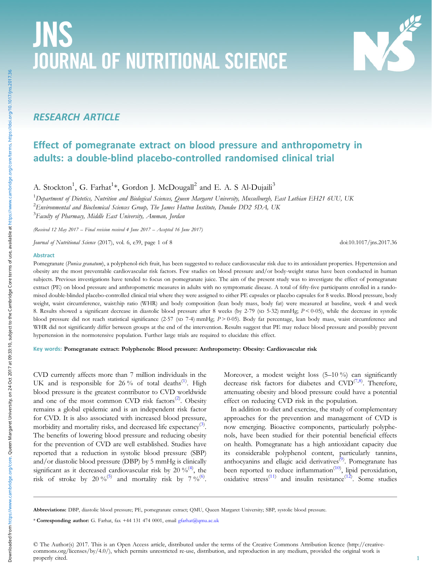# JNS JOURNAL OF NUTRITIONAL SCIENCE

# RESEARCH ARTICLE

# Effect of pomegranate extract on blood pressure and anthropometry in adults: a double-blind placebo-controlled randomised clinical trial

A. Stockton<sup>1</sup>, G. Farhat<sup>1</sup>\*, Gordon J. McDougall<sup>2</sup> and E. A. S Al-Dujaili<sup>3</sup>

 $^1$ Department of Dietetics, Nutrition and Biological Sciences, Queen Margaret University, Musselburgh, East Lothian EH21 6UU, UK  $^2$ Environmental and Biochemical Sciences Group, The James Hutton Institute, Dundee DD2 5DA, UK <sup>3</sup>Faculty of Pharmacy, Middle East University, Amman, Jordan

(Received 12 May 2017 – Final revision received 4 June 2017 – Accepted 16 June 2017)

Journal of Nutritional Science (2017), vol. 6, e39, page 1 of 8 doi:10.1017/jns.2017.36

#### Abstract

Pomegranate (Punica granatum), a polyphenol-rich fruit, has been suggested to reduce cardiovascular risk due to its antioxidant properties. Hypertension and obesity are the most preventable cardiovascular risk factors. Few studies on blood pressure and/or body-weight status have been conducted in human subjects. Previous investigations have tended to focus on pomegranate juice. The aim of the present study was to investigate the effect of pomegranate extract (PE) on blood pressure and anthropometric measures in adults with no symptomatic disease. A total of fifty-five participants enrolled in a randomised double-blinded placebo-controlled clinical trial where they were assigned to either PE capsules or placebo capsules for 8 weeks. Blood pressure, body weight, waist circumference, waist:hip ratio (WHR) and body composition (lean body mass, body fat) were measured at baseline, week 4 and week 8. Results showed a significant decrease in diastolic blood pressure after 8 weeks (by 2.79 (SD 5.32) mmHg;  $P < 0.05$ ), while the decrease in systolic blood pressure did not reach statistical significance (2·57 (sp 7·4) mmHg; P > 0·05). Body fat percentage, lean body mass, waist circumference and WHR did not significantly differ between groups at the end of the intervention. Results suggest that PE may reduce blood pressure and possibly prevent hypertension in the normotensive population. Further large trials are required to elucidate this effect.

# Key words: Pomegranate extract: Polyphenols: Blood pressure: Anthropometry: Obesity: Cardiovascular risk

CVD currently affects more than 7 million individuals in the UK and is responsible for 26% of total deaths<sup>[\(1\)](#page-6-0)</sup>. High blood pressure is the greatest contributor to CVD worldwide and one of the most common CVD risk factors<sup>[\(2\)](#page-6-0)</sup>. Obesity remains a global epidemic and is an independent risk factor for CVD. It is also associated with increased blood pressure, morbidity and mortality risks, and decreased life expectancy<sup>([3](#page-6-0))</sup>. The benefits of lowering blood pressure and reducing obesity for the prevention of CVD are well established. Studies have reported that a reduction in systolic blood pressure (SBP) and/or diastolic blood pressure (DBP) by 5 mmHg is clinically significant as it decreased cardiovascular risk by  $20\%^{(4)}$  $20\%^{(4)}$  $20\%^{(4)}$ , the risk of stroke by 20 %<sup>[\(5\)](#page-6-0)</sup> and mortality risk by 7 %<sup>([6](#page-6-0))</sup>.

Moreover, a modest weight loss (5–10 %) can significantly decrease risk factors for diabetes and  $CVD^{(7,8)}$  $CVD^{(7,8)}$  $CVD^{(7,8)}$  $CVD^{(7,8)}$  $CVD^{(7,8)}$ . Therefore, attenuating obesity and blood pressure could have a potential effect on reducing CVD risk in the population.

In addition to diet and exercise, the study of complementary approaches for the prevention and management of CVD is now emerging. Bioactive components, particularly polyphenols, have been studied for their potential beneficial effects on health. Pomegranate has a high antioxidant capacity due its considerable polyphenol content, particularly tannins, anthocyanins and ellagic acid derivatives<sup>[\(9\)](#page-6-0)</sup>. Pomegranate has been reported to reduce inflammation<sup>([10\)](#page-6-0)</sup>, lipid peroxidation, oxidative stress<sup>[\(11](#page-6-0))</sup> and insulin resistance<sup>([12\)](#page-6-0)</sup>. Some studies

Abbreviations: DBP, diastolic blood pressure; PE, pomegranate extract; QMU, Queen Margaret University; SBP, systolic blood pressure.

\* Corresponding author: G. Farhat, fax +44 131 474 0001, email [gfarhat@qmu.ac.uk](mailto:gfarhat@qmu.ac.uk)

© The Author(s) 2017. This is an Open Access article, distributed under the terms of the Creative Commons Attribution licence (http://creativecommons.org/licenses/by/4.0/), which permits unrestricted re-use, distribution, and reproduction in any medium, provided the original work is properly cited.

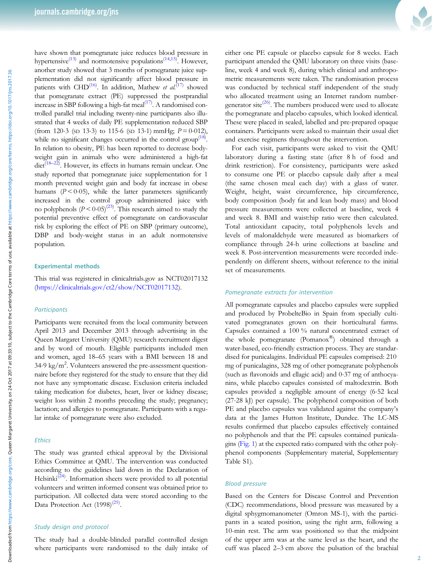have shown that pomegranate juice reduces blood pressure in hypertensive<sup>([13](#page-6-0))</sup> and normotensive populations<sup>[\(14,15](#page-6-0))</sup>. However, another study showed that 3 months of pomegranate juice supplementation did not significantly affect blood pressure in patients with CHD<sup>([16\)](#page-6-0)</sup>. In addition, Mathew *et al.*<sup>[\(17](#page-6-0))</sup> showed that pomegranate extract (PE) suppressed the postprandial increase in SBP following a high-fat meal<sup>[\(17](#page-6-0))</sup>. A randomised controlled parallel trial including twenty-nine participants also illustrated that 4 weeks of daily PE supplementation reduced SBP (from 120.3 (sp 13.3) to 115.6 (sp 13.1) mmHg;  $P = 0.012$ ), while no significant changes occurred in the control group<sup> $(18)$  $(18)$ </sup>. In relation to obesity, PE has been reported to decrease bodyweight gain in animals who were administered a high-fat diet<sup>[\(18](#page-6-0)-[22\)](#page-6-0)</sup>. However, its effects in humans remain unclear. One study reported that pomegranate juice supplementation for 1 month prevented weight gain and body fat increase in obese humans  $(P < 0.05)$ , while the latter parameters significantly increased in the control group administered juice with no polyphenols  $(P < 0.05)^{(23)}$  $(P < 0.05)^{(23)}$  $(P < 0.05)^{(23)}$ . This research aimed to study the potential preventive effect of pomegranate on cardiovascular risk by exploring the effect of PE on SBP (primary outcome), DBP and body-weight status in an adult normotensive population.

#### Experimental methods

This trial was registered in clinicaltrials.gov as NCT02017132 [\(https://clinicaltrials.gov/ct2/show/NCT02017132\)](https://clinicaltrials.gov/ct2/show/NCT02017132).

# **Participants**

Participants were recruited from the local community between April 2013 and December 2013 through advertising in the Queen Margaret University (QMU) research recruitment digest and by word of mouth. Eligible participants included men and women, aged 18–65 years with a BMI between 18 and <sup>34</sup>·9 kg/m2 . Volunteers answered the pre-assessment questionnaire before they registered for the study to ensure that they did not have any symptomatic disease. Exclusion criteria included taking medication for diabetes, heart, liver or kidney disease; weight loss within 2 months preceding the study; pregnancy; lactation; and allergies to pomegranate. Participants with a regular intake of pomegranate were also excluded.

# Ethics

The study was granted ethical approval by the Divisional Ethics Committee at QMU. The intervention was conducted according to the guidelines laid down in the Declaration of Helsinki<sup>[\(24](#page-6-0))</sup>. Information sheets were provided to all potential volunteers and written informed consent was obtained prior to participation. All collected data were stored according to the Data Protection Act  $(1998)^{(25)}$  $(1998)^{(25)}$  $(1998)^{(25)}$ .

#### Study design and protocol

The study had a double-blinded parallel controlled design where participants were randomised to the daily intake of



either one PE capsule or placebo capsule for 8 weeks. Each participant attended the QMU laboratory on three visits (baseline, week 4 and week 8), during which clinical and anthropometric measurements were taken. The randomisation process was conducted by technical staff independent of the study who allocated treatment using an Internet random number-generator site<sup>([26\)](#page-6-0)</sup>. The numbers produced were used to allocate the pomegranate and placebo capsules, which looked identical. These were placed in sealed, labelled and pre-prepared opaque containers. Participants were asked to maintain their usual diet and exercise regimens throughout the intervention.

For each visit, participants were asked to visit the QMU laboratory during a fasting state (after 8 h of food and drink restriction). For consistency, participants were asked to consume one PE or placebo capsule daily after a meal (the same chosen meal each day) with a glass of water. Weight, height, waist circumference, hip circumference, body composition (body fat and lean body mass) and blood pressure measurements were collected at baseline, week 4 and week 8. BMI and waist:hip ratio were then calculated. Total antioxidant capacity, total polyphenols levels and levels of malonaldehyde were measured as biomarkers of compliance through 24-h urine collections at baseline and week 8. Post-intervention measurements were recorded independently on different sheets, without reference to the initial set of measurements.

# Pomegranate extracts for intervention

All pomegranate capsules and placebo capsules were supplied and produced by ProbelteBio in Spain from specially cultivated pomegranates grown on their horticultural farms. Capsules contained a 100 % natural concentrated extract of the whole pomegranate (Pomanox®) obtained through a water-based, eco-friendly extraction process. They are standardised for punicalagins. Individual PE capsules comprised: 210 mg of punicalagins, 328 mg of other pomegranate polyphenols (such as flavonoids and ellagic acid) and 0·37 mg of anthocyanins, while placebo capsules consisted of maltodextrin. Both capsules provided a negligible amount of energy (6·52 kcal (27·28 kJ) per capsule). The polyphenol composition of both PE and placebo capsules was validated against the company's data at the James Hutton Institute, Dundee. The LC-MS results confirmed that placebo capsules effectively contained no polyphenols and that the PE capsules contained punicalagins ([Fig. 1\)](#page-2-0) at the expected ratio compared with the other polyphenol components (Supplementary material, Supplementary Table S1).

# Blood pressure

Based on the Centers for Disease Control and Prevention (CDC) recommendations, blood pressure was measured by a digital sphygmomanometer (Omron MS-1), with the participants in a seated position, using the right arm, following a 10-min rest. The arm was positioned so that the midpoint of the upper arm was at the same level as the heart, and the cuff was placed 2–3 cm above the pulsation of the brachial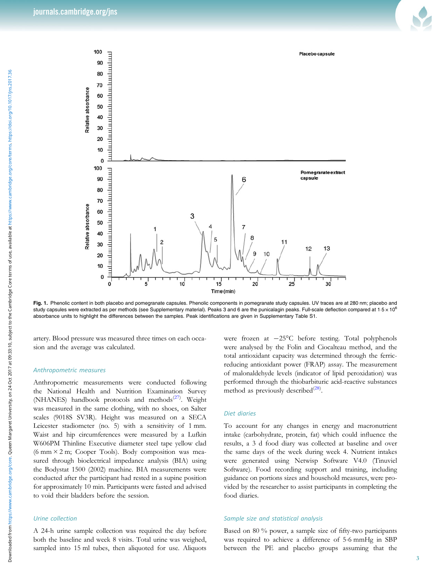<span id="page-2-0"></span>

Fig. 1. Phenolic content in both placebo and pomegranate capsules. Phenolic components in pomegranate study capsules. UV traces are at 280 nm; placebo and study capsules were extracted as per methods (see Supplementary material). Peaks 3 and 6 are the punicalagin peaks. Full-scale deflection compared at  $1.5 \times 10^6$ absorbance units to highlight the differences between the samples. Peak identifications are given in Supplementary Table S1.

artery. Blood pressure was measured three times on each occasion and the average was calculated.

# Anthropometric measures

Anthropometric measurements were conducted following the National Health and Nutrition Examination Survey (NHANES) handbook protocols and methods<sup>[\(27](#page-7-0))</sup>. Weight was measured in the same clothing, with no shoes, on Salter scales (9018S SV3R). Height was measured on a SECA Leicester stadiometer (no. 5) with a sensitivity of 1 mm. Waist and hip circumferences were measured by a Lufkin W606PM Thinline Executive diameter steel tape yellow clad (6 mm  $\times$  2 m; Cooper Tools). Body composition was measured through bioelectrical impedance analysis (BIA) using the Bodystat 1500 (2002) machine. BIA measurements were conducted after the participant had rested in a supine position for approximately 10 min. Participants were fasted and advised to void their bladders before the session.

### Urine collection

A 24-h urine sample collection was required the day before both the baseline and week 8 visits. Total urine was weighed, sampled into 15 ml tubes, then aliquoted for use. Aliquots were frozen at −25°C before testing. Total polyphenols were analysed by the Folin and Ciocalteau method, and the total antioxidant capacity was determined through the ferricreducing antioxidant power (FRAP) assay. The measurement of malonaldehyde levels (indicator of lipid peroxidation) was performed through the thiobarbituric acid-reactive substances method as previously described $^{(28)}$  $^{(28)}$  $^{(28)}$ .

#### Diet diaries

To account for any changes in energy and macronutrient intake (carbohydrate, protein, fat) which could influence the results, a 3 d food diary was collected at baseline and over the same days of the week during week 4. Nutrient intakes were generated using Netwisp Software V4.0 (Tinuviel Software). Food recording support and training, including guidance on portions sizes and household measures, were provided by the researcher to assist participants in completing the food diaries.

#### Sample size and statistical analysis

Based on 80 % power, a sample size of fifty-two participants was required to achieve a difference of 5·6 mmHg in SBP between the PE and placebo groups assuming that the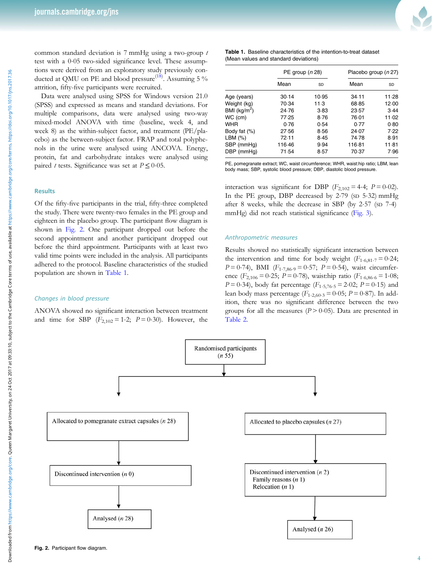common standard deviation is 7 mmHg using a two-group t test with a 0·05 two-sided significance level. These assumptions were derived from an exploratory study previously con-ducted at QMU on PE and blood pressure<sup>([18\)](#page-6-0)</sup>. Assuming 5 % attrition, fifty-five participants were recruited.

Data were analysed using SPSS for Windows version 21.0 (SPSS) and expressed as means and standard deviations. For multiple comparisons, data were analysed using two-way mixed-model ANOVA with time (baseline, week 4, and week 8) as the within-subject factor, and treatment (PE/placebo) as the between-subject factor. FRAP and total polyphenols in the urine were analysed using ANCOVA. Energy, protein, fat and carbohydrate intakes were analysed using paired t tests. Significance was set at  $P \le 0.05$ .

#### **Results**

Of the fifty-five participants in the trial, fifty-three completed the study. There were twenty-two females in the PE group and eighteen in the placebo group. The participant flow diagram is shown in Fig. 2. One participant dropped out before the second appointment and another participant dropped out before the third appointment. Participants with at least two valid time points were included in the analysis. All participants adhered to the protocol. Baseline characteristics of the studied population are shown in Table 1.

#### Changes in blood pressure

ANOVA showed no significant interaction between treatment and time for SBP  $(F_{2,102} = 1.2; P = 0.30)$ . However, the

| <b>Table 1.</b> Baseline characteristics of the intention-to-treat dataset |
|----------------------------------------------------------------------------|
| (Mean values and standard deviations)                                      |

|               | PE group ( <i>n</i> 28) |       | Placebo group (n 27) |       |  |
|---------------|-------------------------|-------|----------------------|-------|--|
|               | Mean                    | SD    | Mean                 | SD    |  |
| Age (years)   | 30.14                   | 10.95 | 34.11                | 11.28 |  |
| Weight (kg)   | 70.34                   | 11.3  | 68.85                | 12.00 |  |
| BMI $(kg/m2)$ | 24.76                   | 3.83  | 23.57                | 3.44  |  |
| WC (cm)       | 77.25                   | 8.76  | 76.01                | 11.02 |  |
| <b>WHR</b>    | 0.76                    | 0.54  | 0.77                 | 0.80  |  |
| Body fat (%)  | 27.56                   | 8.56  | 24.07                | 7.22  |  |
| LBM $(%)$     | 72.11                   | 8.45  | 74.78                | 8.91  |  |
| SBP (mmHg)    | 116.46                  | 9.94  | 116.81               | 11.81 |  |
| DBP (mmHg)    | 71.54                   | 8.57  | 70.37                | 7.96  |  |

PE, pomegranate extract; WC, waist circumference; WHR, waist:hip ratio; LBM, lean body mass; SBP, systolic blood pressure; DBP, diastolic blood pressure.

interaction was significant for DBP ( $F_{2,102} = 4.4$ ;  $P = 0.02$ ). In the PE group, DBP decreased by 2·79 (SD 5·32) mmHg after 8 weeks, while the decrease in SBP (by 2·57 (SD 7·4) mmHg) did not reach statistical significance [\(Fig. 3](#page-4-0)).

#### Anthropometric measures

Results showed no statistically significant interaction between the intervention and time for body weight  $(F_{1.6,81.7} = 0.24;$  $P = 0.74$ ), BMI ( $F_{1.7,86.9} = 0.57$ ;  $P = 0.54$ ), waist circumference ( $F_{2,106} = 0.25$ ;  $P = 0.78$ ), waist:hip ratio ( $F_{1.6,86.6} = 1.08$ ;  $P = 0.34$ ), body fat percentage ( $F_{1.5,76.5} = 2.02$ ;  $P = 0.15$ ) and lean body mass percentage ( $F_{1.2,60.3} = 0.05$ ;  $P = 0.87$ ). In addition, there was no significant difference between the two groups for all the measures ( $P > 0.05$ ). Data are presented in [Table 2.](#page-4-0)

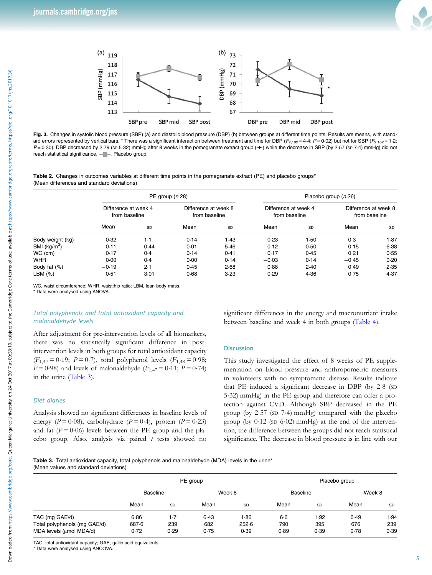

<span id="page-4-0"></span>

Fig. 3. Changes in systolic blood pressure (SBP) (a) and diastolic blood pressure (DBP) (b) between groups at different time points. Results are means, with standard errors represented by vertical bars. \* There was a significant interaction between treatment and time for DBP ( $F_{2,102}$  = 4.4;  $P$  = 0.02) but not for SBP ( $F_{2,102}$  = 1.2;  $P = 0.30$ ). DBP decreased by 2.79 (sp 5.32) mmHg after 8 weeks in the pomegranate extract group ( $\rightarrow$ ) while the decrease in SBP (by 2.57 (sp 7.4) mmHg) did not reach statistical significance.  $-$  -, Placebo group.

Table 2. Changes in outcomes variables at different time points in the pomegranate extract (PE) and placebo groups\* (Mean differences and standard deviations)

|                          | PE group $(n 28)$                     |           |                                       |      | Placebo group (n 26)                  |      |                                       |      |
|--------------------------|---------------------------------------|-----------|---------------------------------------|------|---------------------------------------|------|---------------------------------------|------|
|                          | Difference at week 4<br>from baseline |           | Difference at week 8<br>from baseline |      | Difference at week 4<br>from baseline |      | Difference at week 8<br>from baseline |      |
|                          | Mean                                  | <b>SD</b> | Mean                                  | SD   | Mean                                  | SD   | Mean                                  | SD   |
| Body weight (kg)         | 0.32                                  | 1.1       | $-0.14$                               | 1.43 | 0.23                                  | 1.50 | 0.3                                   | 1.87 |
| BMI (kg/m <sup>2</sup> ) | 0.11                                  | 0.44      | 0.01                                  | 5.46 | 0.12                                  | 0.50 | 0.15                                  | 6.38 |
| WC (cm)                  | 0.17                                  | 0.4       | 0.14                                  | 0.41 | 0.17                                  | 0.45 | 0.21                                  | 0.55 |
| WHR                      | 0.00                                  | 0.4       | 0.00                                  | 0.14 | $-0.03$                               | 0.14 | $-0.45$                               | 0.20 |
| Body fat (%)             | $-0.19$                               | 2.1       | 0.45                                  | 2.68 | 0.88                                  | 2.40 | 0.49                                  | 2.35 |
| LBM (%)                  | 0.51                                  | 3.01      | 0.68                                  | 3.23 | 0.29                                  | 4.36 | 0.75                                  | 4.37 |

WC, waist circumference; WHR, waist:hip ratio; LBM, lean body mass.

\* Data were analysed using ANOVA.

# Total polyphenols and total antioxidant capacity and malonaldehyde levels

After adjustment for pre-intervention levels of all biomarkers, there was no statistically significant difference in postintervention levels in both groups for total antioxidant capacity  $(F_{1,47} = 0.19; P = 0.7)$ , total polyphenol levels  $(F_{1,48} = 0.98;$  $P = 0.98$ ) and levels of malonaldehyde ( $F_{1,47} = 0.11$ ;  $P = 0.74$ ) in the urine (Table 3).

# Diet diaries

Analysis showed no significant differences in baseline levels of energy ( $P = 0.08$ ), carbohydrate ( $P = 0.4$ ), protein ( $P = 0.23$ ) and fat  $(P = 0.06)$  levels between the PE group and the placebo group. Also, analysis via paired  $t$  tests showed no

significant differences in the energy and macronutrient intake between baseline and week 4 in both groups [\(Table 4\)](#page-5-0).

#### **Discussion**

This study investigated the effect of 8 weeks of PE supplementation on blood pressure and anthropometric measures in volunteers with no symptomatic disease. Results indicate that PE induced a significant decrease in DBP (by 2·8 (SD 5·32) mmHg) in the PE group and therefore can offer a protection against CVD. Although SBP decreased in the PE group (by 2·57 (SD 7·4) mmHg) compared with the placebo group (by  $0.12$  (sp  $6.02$ ) mmHg) at the end of the intervention, the difference between the groups did not reach statistical significance. The decrease in blood pressure is in line with our

Table 3. Total antioxidant capacity, total polyphenols and malonaldehyde (MDA) levels in the urine\* (Mean values and standard deviations)

|                                                         |               | PE group    |             |               |                 | Placebo group |             |             |  |
|---------------------------------------------------------|---------------|-------------|-------------|---------------|-----------------|---------------|-------------|-------------|--|
|                                                         | Baseline      |             | Week 8      |               | <b>Baseline</b> |               | Week 8      |             |  |
|                                                         | Mean          | SD          | Mean        | SD            | Mean            | SD            | Mean        | SD          |  |
| TAC (mg GAE/d)                                          | 6.86          | $1-7$       | 6.43        | 1.86          | $6-6$           | 1.92          | 6.49        | 1.94        |  |
| Total polyphenols (mg GAE/d)<br>MDA levels (µmol MDA/d) | 687.6<br>0.72 | 239<br>0.29 | 682<br>0.75 | 252.6<br>0.39 | 790<br>0.89     | 395<br>0.39   | 676<br>0.78 | 239<br>0.39 |  |

TAC, total antioxidant capacity; GAE, gallic acid equivalents.

\* Data were analysed using ANCOVA.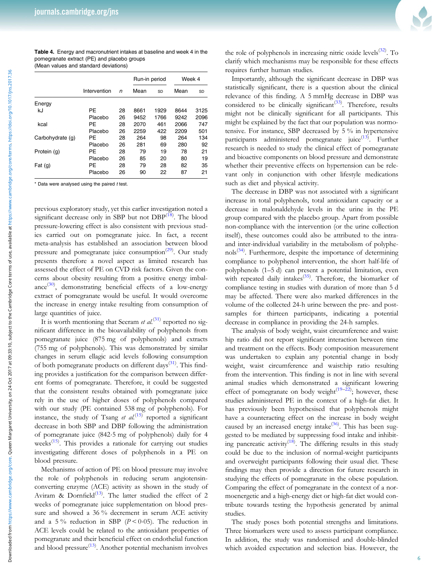<span id="page-5-0"></span>Table 4. Energy and macronutrient intakes at baseline and week 4 in the pomegranate extract (PE) and placebo groups (Mean values and standard deviations)

|                  |              |    | Run-in period |      | Week 4 |      |
|------------------|--------------|----|---------------|------|--------|------|
|                  | Intervention | n  | Mean          | SD   | Mean   | SD   |
| Energy           |              |    |               |      |        |      |
| kJ               | PE           | 28 | 8661          | 1929 | 8644   | 3125 |
|                  | Placebo      | 26 | 9452          | 1766 | 9242   | 2096 |
| kcal             | PE           | 28 | 2070          | 461  | 2066   | 747  |
|                  | Placebo      | 26 | 2259          | 422  | 2209   | 501  |
| Carbohydrate (g) | PE           | 28 | 264           | 98   | 264    | 134  |
|                  | Placebo      | 26 | 281           | 69   | 280    | 92   |
| Protein (g)      | PF           | 28 | 79            | 19   | 78     | 21   |
|                  | Placebo      | 26 | 85            | 20   | 80     | 19   |
| Fat $(g)$        | PE           | 28 | 79            | 28   | 82     | 35   |
|                  | Placebo      | 26 | 90            | 22   | 87     | 21   |

 $*$  Data were analysed using the paired  $t$  test.

previous exploratory study, yet this earlier investigation noted a significant decrease only in SBP but not DBP<sup>([18\)](#page-6-0)</sup>. The blood pressure-lowering effect is also consistent with previous studies carried out on pomegranate juice. In fact, a recent meta-analysis has established an association between blood pressure and pomegranate juice consumption<sup>[\(29](#page-7-0))</sup>. Our study presents therefore a novel aspect as limited research has assessed the effect of PE on CVD risk factors. Given the concerns about obesity resulting from a positive energy imbal- $ance^{(30)}$  $ance^{(30)}$  $ance^{(30)}$ , demonstrating beneficial effects of a low-energy extract of pomegranate would be useful. It would overcome the increase in energy intake resulting from consumption of large quantities of juice.

It is worth mentioning that Seeram et  $al^{(31)}$  $al^{(31)}$  $al^{(31)}$  reported no significant difference in the bioavailability of polyphenols from pomegranate juice (875 mg of polyphenols) and extracts (755 mg of polyphenols). This was demonstrated by similar changes in serum ellagic acid levels following consumption of both pomegranate products on different days<sup>[\(31](#page-7-0))</sup>. This finding provides a justification for the comparison between different forms of pomegranate. Therefore, it could be suggested that the consistent results obtained with pomegranate juice rely in the use of higher doses of polyphenols compared with our study (PE contained 538 mg of polyphenols). For instance, the study of Tsang et  $al^{(15)}$  $al^{(15)}$  $al^{(15)}$  reported a significant decrease in both SBP and DBP following the administration of pomegranate juice (842·5 mg of polyphenols) daily for 4 weeks<sup>([15\)](#page-6-0)</sup>. This provides a rationale for carrying out studies investigating different doses of polyphenols in a PE on blood pressure.

Mechanisms of action of PE on blood pressure may involve the role of polyphenols in reducing serum angiotensinconverting enzyme (ACE) activity as shown in the study of Aviram & Dornfield<sup>([13\)](#page-6-0)</sup>. The latter studied the effect of 2 weeks of pomegranate juice supplementation on blood pressure and showed a 36 % decrement in serum ACE activity and a 5% reduction in SBP ( $P < 0.05$ ). The reduction in ACE levels could be related to the antioxidant properties of pomegranate and their beneficial effect on endothelial function and blood pressure<sup>([13\)](#page-6-0)</sup>. Another potential mechanism involves



the role of polyphenols in increasing nitric oxide levels<sup>([32\)](#page-7-0)</sup>. To clarify which mechanisms may be responsible for these effects requires further human studies.

Importantly, although the significant decrease in DBP was statistically significant, there is a question about the clinical relevance of this finding. A 5 mmHg decrease in DBP was considered to be clinically significant<sup>([33\)](#page-7-0)</sup>. Therefore, results might not be clinically significant for all participants. This might be explained by the fact that our population was normotensive. For instance, SBP decreased by 5 % in hypertensive participants administered pomegranate juice<sup>([13\)](#page-6-0)</sup>. Further research is needed to study the clinical effect of pomegranate and bioactive components on blood pressure and demonstrate whether their preventive effects on hypertension can be relevant only in conjunction with other lifestyle medications such as diet and physical activity.

The decrease in DBP was not associated with a significant increase in total polyphenols, total antioxidant capacity or a decrease in malonaldehyde levels in the urine in the PE group compared with the placebo group. Apart from possible non-compliance with the intervention (or the urine collection itself), these outcomes could also be attributed to the intraand inter-individual variability in the metabolism of polyphe-nols<sup>[\(34\)](#page-7-0)</sup>. Furthermore, despite the importance of determining compliance to polyphenol intervention, the short half-life of polyphenols (1–5 d) can present a potential limitation, even with repeated daily intakes $(35)$  $(35)$ . Therefore, the biomarker of compliance testing in studies with duration of more than 5 d may be affected. There were also marked differences in the volume of the collected 24-h urine between the pre- and postsamples for thirteen participants, indicating a potential decrease in compliance in providing the 24-h samples.

The analysis of body weight, waist circumference and waist: hip ratio did not report significant interaction between time and treatment on the effects. Body composition measurement was undertaken to explain any potential change in body weight, waist circumference and waist:hip ratio resulting from the intervention. This finding is not in line with several animal studies which demonstrated a significant lowering effect of pomegranate on body weight<sup>[\(19](#page-6-0)-[22\)](#page-6-0)</sup>; however, these studies administered PE in the context of a high-fat diet. It has previously been hypothesised that polyphenols might have a counteracting effect on the increase in body weight caused by an increased energy intake $(36)$  $(36)$ . This has been suggested to be mediated by suppressing food intake and inhibit-ing pancreatic activity<sup>[\(18](#page-6-0))</sup>. The differing results in this study could be due to the inclusion of normal-weight participants and overweight participants following their usual diet. These findings may then provide a direction for future research in studying the effects of pomegranate in the obese population. Comparing the effect of pomegranate in the context of a normoenergetic and a high-energy diet or high-fat diet would contribute towards testing the hypothesis generated by animal studies.

The study poses both potential strengths and limitations. Three biomarkers were used to assess participant compliance. In addition, the study was randomised and double-blinded which avoided expectation and selection bias. However, the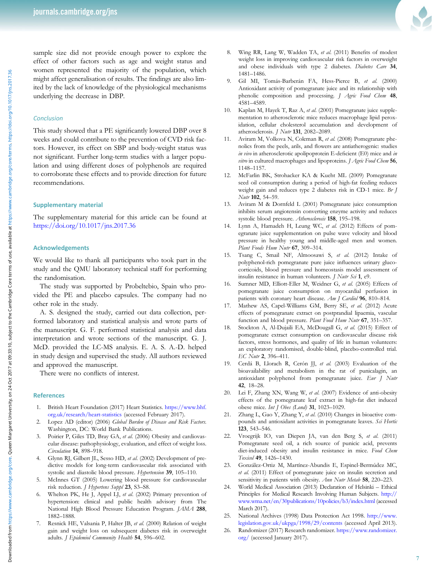<span id="page-6-0"></span>sample size did not provide enough power to explore the effect of other factors such as age and weight status and women represented the majority of the population, which might affect generalisation of results. The findings are also limited by the lack of knowledge of the physiological mechanisms underlying the decrease in DBP.

#### **Conclusion**

This study showed that a PE significantly lowered DBP over 8 weeks and could contribute to the prevention of CVD risk factors. However, its effect on SBP and body-weight status was not significant. Further long-term studies with a larger population and using different doses of polyphenols are required to corroborate these effects and to provide direction for future recommendations.

## Supplementary material

The supplementary material for this article can be found at <https://doi.org/10.1017/jns.2017.36>

#### Acknowledgements

We would like to thank all participants who took part in the study and the QMU laboratory technical staff for performing the randomisation.

The study was supported by Probeltebio, Spain who provided the PE and placebo capsules. The company had no other role in the study.

A. S. designed the study, carried out data collection, performed laboratory and statistical analysis and wrote parts of the manuscript. G. F. performed statistical analysis and data interpretation and wrote sections of the manuscript. G. J. McD. provided the LC-MS analysis. E. A. S. A.-D. helped in study design and supervised the study. All authors reviewed and approved the manuscript.

There were no conflicts of interest.

#### References

- 1. British Heart Foundation (2017) Heart Statistics. [https://www.bhf.](https://www.bhf.org.uk/research/heart-statistics) [org.uk/research/heart-statistics](https://www.bhf.org.uk/research/heart-statistics) (accessed February 2017).
- 2. Lopez AD (editor) (2006) Global Burden of Disease and Risk Factors. Washington, DC: World Bank Publications.
- 3. Poirier P, Giles TD, Bray GA, et al. (2006) Obesity and cardiovascular disease: pathophysiology, evaluation, and effect of weight loss. Circulation 14, 898–918.
- 4. Glynn RJ, Gilbert JL, Sesso HD, et al. (2002) Development of predictive models for long-term cardiovascular risk associated with systolic and diastolic blood pressure. Hypertension 39, 105–110.
- 5. McInnes GT (2005) Lowering blood pressure for cardiovascular risk reduction. J Hypertens Suppl 23, S3-S8.
- Whelton PK, He J, Appel LJ, et al. (2002) Primary prevention of hypertension: clinical and public health advisory from The National High Blood Pressure Education Program. JAMA 288, 1882–1888.
- 7. Resnick HE, Valsania P, Halter JB, et al. (2000) Relation of weight gain and weight loss on subsequent diabetes risk in overweight adults. J Epidemiol Community Health 54, 596-602.
- 8. Wing RR, Lang W, Wadden TA, et al. (2011) Benefits of modest weight loss in improving cardiovascular risk factors in overweight and obese individuals with type 2 diabetes. Diabetes Care 34, 1481–1486.
- 9. Gil MI, Tomás-Barberán FA, Hess-Pierce B, et al. (2000) Antioxidant activity of pomegranate juice and its relationship with phenolic composition and processing. J Agric Food Chem 48, 4581–4589.
- 10. Kaplan M, Hayek T, Raz A, et al. (2001) Pomegranate juice supplementation to atherosclerotic mice reduces macrophage lipid peroxidation, cellular cholesterol accumulation and development of atherosclerosis. J Nutr 131, 2082–2089.
- 11. Aviram M, Volkova N, Coleman R, et al. (2008) Pomegranate phenolics from the peels, arils, and flowers are antiatherogenic: studies in vivo in atherosclerotic apolipoprotein E-deficient (E0) mice and in vitro in cultured macrophages and lipoproteins. J Agric Food Chem 56, 1148–1157.
- 12. McFarlin BK, Strohacker KA & Kueht ML (2009) Pomegranate seed oil consumption during a period of high-fat feeding reduces weight gain and reduces type 2 diabetes risk in CD-1 mice. Br J Nutr 102, 54–59.
- 13. Aviram M & Dornfeld L (2001) Pomegranate juice consumption inhibits serum angiotensin converting enzyme activity and reduces systolic blood pressure. Atherosclerosis 158, 195-198.
- 14. Lynn A, Hamadeh H, Leung WC, et al. (2012) Effects of pomegranate juice supplementation on pulse wave velocity and blood pressure in healthy young and middle-aged men and women. Plant Foods Hum Nutr 67, 309-314.
- 15. Tsang C, Smail NF, Almoosawi S, et al. (2012) Intake of polyphenol-rich pomegranate pure juice influences urinary glucocorticoids, blood pressure and homeostasis model assessment of insulin resistance in human volunteers. *J Nutr Sci* 1, e9.
- 16. Sumner MD, Elliott-Eller M, Weidner G, et al. (2005) Effects of pomegranate juice consumption on myocardial perfusion in patients with coronary heart disease. Am J Cardiol 96, 810-814.
- 17. Mathew AS, Capel-Williams GM, Berry SE, et al. (2012) Acute effects of pomegranate extract on postprandial lipaemia, vascular function and blood pressure. Plant Food Hum Nutr 67, 351-357.
- 18. Stockton A, Al-Dujaili EA, McDougall G, et al. (2015) Effect of pomegranate extract consumption on cardiovascular disease risk factors, stress hormones, and quality of life in human volunteers: an exploratory randomised, double-blind, placebo-controlled trial. EC Nutr 2, 396-411.
- 19. Cerdá B, Llorach R, Cerón JJ, et al. (2003) Evaluation of the bioavailability and metabolism in the rat of punicalagin, an antioxidant polyphenol from pomegranate juice. Eur J Nutr 42, 18–28.
- 20. Lei F, Zhang XN, Wang W, et al. (2007) Evidence of anti-obesity effects of the pomegranate leaf extract in high-fat diet induced obese mice. Int J Obes (Lond) 31, 1023–1029.
- 21. Zhang L, Gao Y, Zhang Y, et al. (2010) Changes in bioactive compounds and antioxidant activities in pomegranate leaves. Sci Hortic 123, 543–546.
- 22. Vroegrijk IO, van Diepen JA, van den Berg S, et al. (2011) Pomegranate seed oil, a rich source of punicic acid, prevents diet-induced obesity and insulin resistance in mice. Food Chem Toxicol 49, 1426–1430.
- 23. González-Ortiz M, Martínez-Abundis E, Espinel-Bermúdez MC, et al. (2011) Effect of pomegranate juice on insulin secretion and sensitivity in patients with obesity. Ann Nutr Metab 58, 220-223.
- 24. World Medical Association (2013) Declaration of Helsinki Ethical Principles for Medical Research Involving Human Subjects. [http://](http://www.wma.net/en/30publications/10policies/b3/index.html) [www.wma.net/en/30publications/10policies/b3/index.html](http://www.wma.net/en/30publications/10policies/b3/index.html) (accessed March 2017).
- 25. National Archives (1998) Data Protection Act 1998. [http://www.](http://www.legislation.gov.uk/ukpga/1998/29/contents) [legislation.gov.uk/ukpga/1998/29/contents](http://www.legislation.gov.uk/ukpga/1998/29/contents) (accessed April 2013).
- 26. Randomizer (2017) Research randomizer. [https://www.randomizer.](https://www.randomizer.org/) [org/](https://www.randomizer.org/) (accessed January 2017).